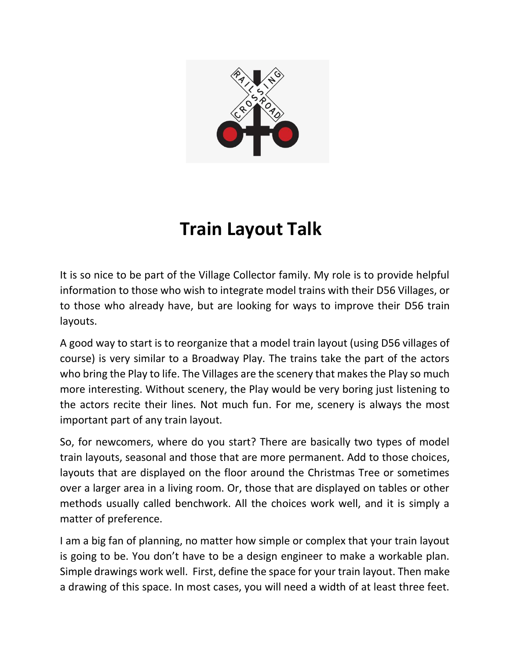

## **Train Layout Talk**

It is so nice to be part of the Village Collector family. My role is to provide helpful information to those who wish to integrate model trains with their D56 Villages, or to those who already have, but are looking for ways to improve their D56 train layouts.

A good way to start is to reorganize that a model train layout (using D56 villages of course) is very similar to a Broadway Play. The trains take the part of the actors who bring the Play to life. The Villages are the scenery that makes the Play so much more interesting. Without scenery, the Play would be very boring just listening to the actors recite their lines. Not much fun. For me, scenery is always the most important part of any train layout.

So, for newcomers, where do you start? There are basically two types of model train layouts, seasonal and those that are more permanent. Add to those choices, layouts that are displayed on the floor around the Christmas Tree or sometimes over a larger area in a living room. Or, those that are displayed on tables or other methods usually called benchwork. All the choices work well, and it is simply a matter of preference.

I am a big fan of planning, no matter how simple or complex that your train layout is going to be. You don't have to be a design engineer to make a workable plan. Simple drawings work well. First, define the space for your train layout. Then make a drawing of this space. In most cases, you will need a width of at least three feet.